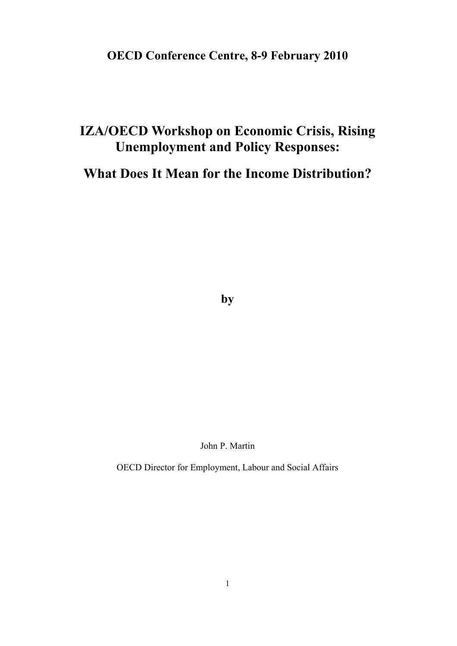## **OECD Conference Centre, 8-9 February 2010**

## **IZA/OECD Workshop on Economic Crisis, Rising Unemployment and Policy Responses:**

**What Does It Mean for the Income Distribution?** 

**by** 

John P. Martin

OECD Director for Employment, Labour and Social Affairs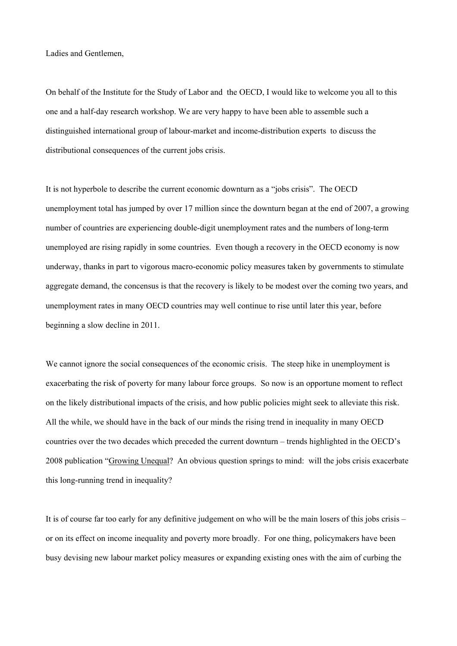Ladies and Gentlemen,

On behalf of the Institute for the Study of Labor and the OECD, I would like to welcome you all to this one and a half-day research workshop. We are very happy to have been able to assemble such a distinguished international group of labour-market and income-distribution experts to discuss the distributional consequences of the current jobs crisis.

It is not hyperbole to describe the current economic downturn as a "jobs crisis". The OECD unemployment total has jumped by over 17 million since the downturn began at the end of 2007, a growing number of countries are experiencing double-digit unemployment rates and the numbers of long-term unemployed are rising rapidly in some countries. Even though a recovery in the OECD economy is now underway, thanks in part to vigorous macro-economic policy measures taken by governments to stimulate aggregate demand, the concensus is that the recovery is likely to be modest over the coming two years, and unemployment rates in many OECD countries may well continue to rise until later this year, before beginning a slow decline in 2011.

We cannot ignore the social consequences of the economic crisis. The steep hike in unemployment is exacerbating the risk of poverty for many labour force groups. So now is an opportune moment to reflect on the likely distributional impacts of the crisis, and how public policies might seek to alleviate this risk. All the while, we should have in the back of our minds the rising trend in inequality in many OECD countries over the two decades which preceded the current downturn – trends highlighted in the OECD's 2008 publication "Growing Unequal? An obvious question springs to mind: will the jobs crisis exacerbate this long-running trend in inequality?

It is of course far too early for any definitive judgement on who will be the main losers of this jobs crisis – or on its effect on income inequality and poverty more broadly. For one thing, policymakers have been busy devising new labour market policy measures or expanding existing ones with the aim of curbing the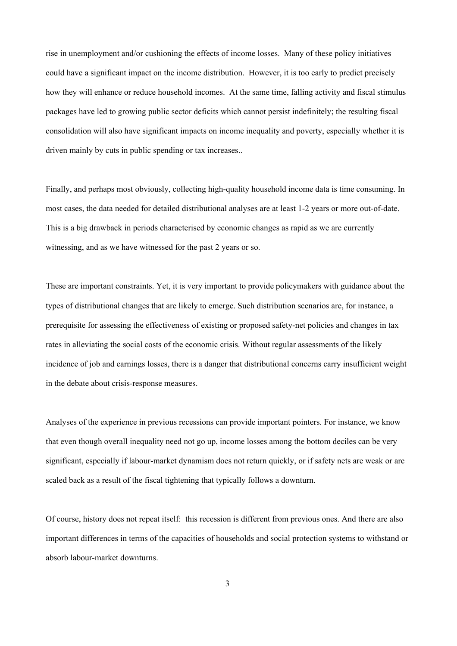rise in unemployment and/or cushioning the effects of income losses. Many of these policy initiatives could have a significant impact on the income distribution. However, it is too early to predict precisely how they will enhance or reduce household incomes. At the same time, falling activity and fiscal stimulus packages have led to growing public sector deficits which cannot persist indefinitely; the resulting fiscal consolidation will also have significant impacts on income inequality and poverty, especially whether it is driven mainly by cuts in public spending or tax increases..

Finally, and perhaps most obviously, collecting high-quality household income data is time consuming. In most cases, the data needed for detailed distributional analyses are at least 1-2 years or more out-of-date. This is a big drawback in periods characterised by economic changes as rapid as we are currently witnessing, and as we have witnessed for the past 2 years or so.

These are important constraints. Yet, it is very important to provide policymakers with guidance about the types of distributional changes that are likely to emerge. Such distribution scenarios are, for instance, a prerequisite for assessing the effectiveness of existing or proposed safety-net policies and changes in tax rates in alleviating the social costs of the economic crisis. Without regular assessments of the likely incidence of job and earnings losses, there is a danger that distributional concerns carry insufficient weight in the debate about crisis-response measures.

Analyses of the experience in previous recessions can provide important pointers. For instance, we know that even though overall inequality need not go up, income losses among the bottom deciles can be very significant, especially if labour-market dynamism does not return quickly, or if safety nets are weak or are scaled back as a result of the fiscal tightening that typically follows a downturn.

Of course, history does not repeat itself: this recession is different from previous ones. And there are also important differences in terms of the capacities of households and social protection systems to withstand or absorb labour-market downturns.